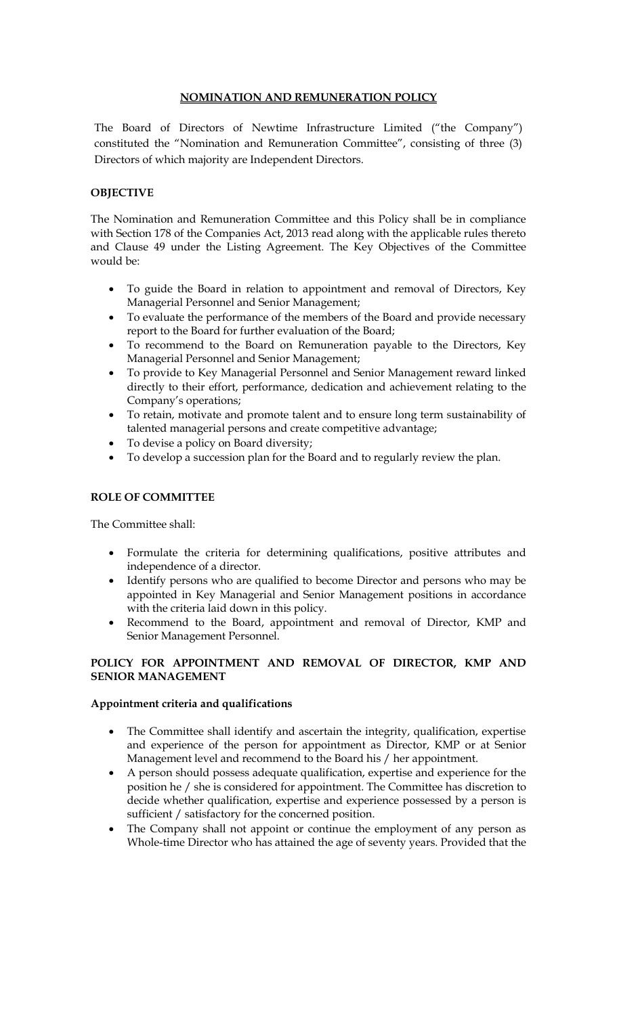## **NOMINATION AND REMUNERATION POLICY**

The Board of Directors of Newtime Infrastructure Limited ("the Company") constituted the "Nomination and Remuneration Committee", consisting of three (3) Directors of which majority are Independent Directors.

## **OBJECTIVE**

The Nomination and Remuneration Committee and this Policy shall be in compliance with Section 178 of the Companies Act, 2013 read along with the applicable rules thereto and Clause 49 under the Listing Agreement. The Key Objectives of the Committee would be:

- To guide the Board in relation to appointment and removal of Directors, Key Managerial Personnel and Senior Management;
- To evaluate the performance of the members of the Board and provide necessary report to the Board for further evaluation of the Board;
- To recommend to the Board on Remuneration payable to the Directors, Key Managerial Personnel and Senior Management;
- To provide to Key Managerial Personnel and Senior Management reward linked directly to their effort, performance, dedication and achievement relating to the Company's operations;
- To retain, motivate and promote talent and to ensure long term sustainability of talented managerial persons and create competitive advantage;
- To devise a policy on Board diversity;
- To develop a succession plan for the Board and to regularly review the plan.

#### **ROLE OF COMMITTEE**

The Committee shall:

- Formulate the criteria for determining qualifications, positive attributes and independence of a director.
- Identify persons who are qualified to become Director and persons who may be appointed in Key Managerial and Senior Management positions in accordance with the criteria laid down in this policy.
- Recommend to the Board, appointment and removal of Director, KMP and Senior Management Personnel.

## **POLICY FOR APPOINTMENT AND REMOVAL OF DIRECTOR, KMP AND SENIOR MANAGEMENT**

#### **Appointment criteria and qualifications**

- The Committee shall identify and ascertain the integrity, qualification, expertise and experience of the person for appointment as Director, KMP or at Senior Management level and recommend to the Board his / her appointment.
- A person should possess adequate qualification, expertise and experience for the position he / she is considered for appointment. The Committee has discretion to decide whether qualification, expertise and experience possessed by a person is sufficient / satisfactory for the concerned position.
- The Company shall not appoint or continue the employment of any person as Whole-time Director who has attained the age of seventy years. Provided that the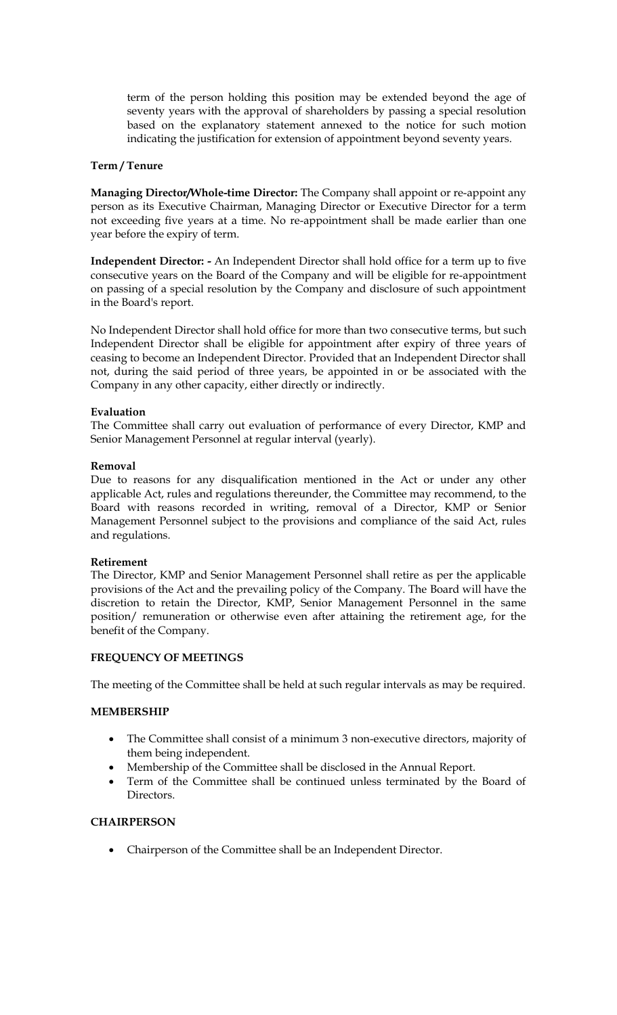term of the person holding this position may be extended beyond the age of seventy years with the approval of shareholders by passing a special resolution based on the explanatory statement annexed to the notice for such motion indicating the justification for extension of appointment beyond seventy years.

## **Term / Tenure**

**Managing Director/Whole-time Director:** The Company shall appoint or re-appoint any person as its Executive Chairman, Managing Director or Executive Director for a term not exceeding five years at a time. No re-appointment shall be made earlier than one year before the expiry of term.

**Independent Director: -** An Independent Director shall hold office for a term up to five consecutive years on the Board of the Company and will be eligible for re-appointment on passing of a special resolution by the Company and disclosure of such appointment in the Board's report.

No Independent Director shall hold office for more than two consecutive terms, but such Independent Director shall be eligible for appointment after expiry of three years of ceasing to become an Independent Director. Provided that an Independent Director shall not, during the said period of three years, be appointed in or be associated with the Company in any other capacity, either directly or indirectly.

### **Evaluation**

The Committee shall carry out evaluation of performance of every Director, KMP and Senior Management Personnel at regular interval (yearly).

#### **Removal**

Due to reasons for any disqualification mentioned in the Act or under any other applicable Act, rules and regulations thereunder, the Committee may recommend, to the Board with reasons recorded in writing, removal of a Director, KMP or Senior Management Personnel subject to the provisions and compliance of the said Act, rules and regulations.

#### **Retirement**

The Director, KMP and Senior Management Personnel shall retire as per the applicable provisions of the Act and the prevailing policy of the Company. The Board will have the discretion to retain the Director, KMP, Senior Management Personnel in the same position/ remuneration or otherwise even after attaining the retirement age, for the benefit of the Company.

#### **FREQUENCY OF MEETINGS**

The meeting of the Committee shall be held at such regular intervals as may be required.

#### **MEMBERSHIP**

- The Committee shall consist of a minimum 3 non-executive directors, majority of them being independent.
- Membership of the Committee shall be disclosed in the Annual Report.
- Term of the Committee shall be continued unless terminated by the Board of Directors.

## **CHAIRPERSON**

Chairperson of the Committee shall be an Independent Director.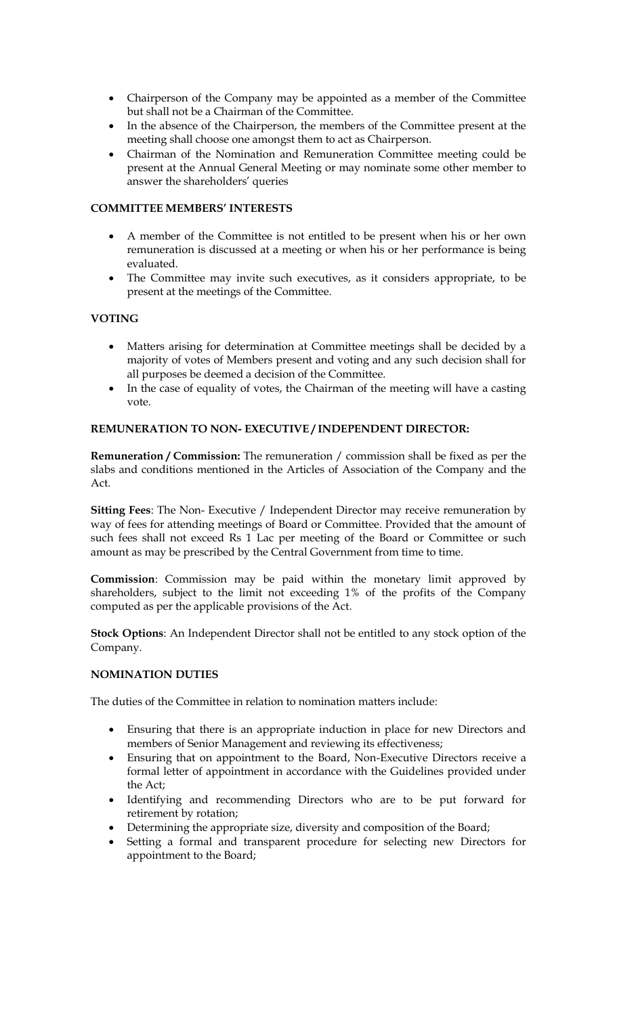- Chairperson of the Company may be appointed as a member of the Committee but shall not be a Chairman of the Committee.
- In the absence of the Chairperson, the members of the Committee present at the meeting shall choose one amongst them to act as Chairperson.
- Chairman of the Nomination and Remuneration Committee meeting could be present at the Annual General Meeting or may nominate some other member to answer the shareholders' queries

# **COMMITTEE MEMBERS' INTERESTS**

- A member of the Committee is not entitled to be present when his or her own remuneration is discussed at a meeting or when his or her performance is being evaluated.
- The Committee may invite such executives, as it considers appropriate, to be present at the meetings of the Committee.

# **VOTING**

- Matters arising for determination at Committee meetings shall be decided by a majority of votes of Members present and voting and any such decision shall for all purposes be deemed a decision of the Committee.
- In the case of equality of votes, the Chairman of the meeting will have a casting vote.

## **REMUNERATION TO NON- EXECUTIVE / INDEPENDENT DIRECTOR:**

**Remuneration / Commission:** The remuneration / commission shall be fixed as per the slabs and conditions mentioned in the Articles of Association of the Company and the Act.

**Sitting Fees**: The Non- Executive / Independent Director may receive remuneration by way of fees for attending meetings of Board or Committee. Provided that the amount of such fees shall not exceed Rs 1 Lac per meeting of the Board or Committee or such amount as may be prescribed by the Central Government from time to time.

**Commission**: Commission may be paid within the monetary limit approved by shareholders, subject to the limit not exceeding 1% of the profits of the Company computed as per the applicable provisions of the Act.

**Stock Options**: An Independent Director shall not be entitled to any stock option of the Company.

#### **NOMINATION DUTIES**

The duties of the Committee in relation to nomination matters include:

- Ensuring that there is an appropriate induction in place for new Directors and members of Senior Management and reviewing its effectiveness;
- Ensuring that on appointment to the Board, Non-Executive Directors receive a formal letter of appointment in accordance with the Guidelines provided under the Act;
- Identifying and recommending Directors who are to be put forward for retirement by rotation;
- Determining the appropriate size, diversity and composition of the Board;
- Setting a formal and transparent procedure for selecting new Directors for appointment to the Board;